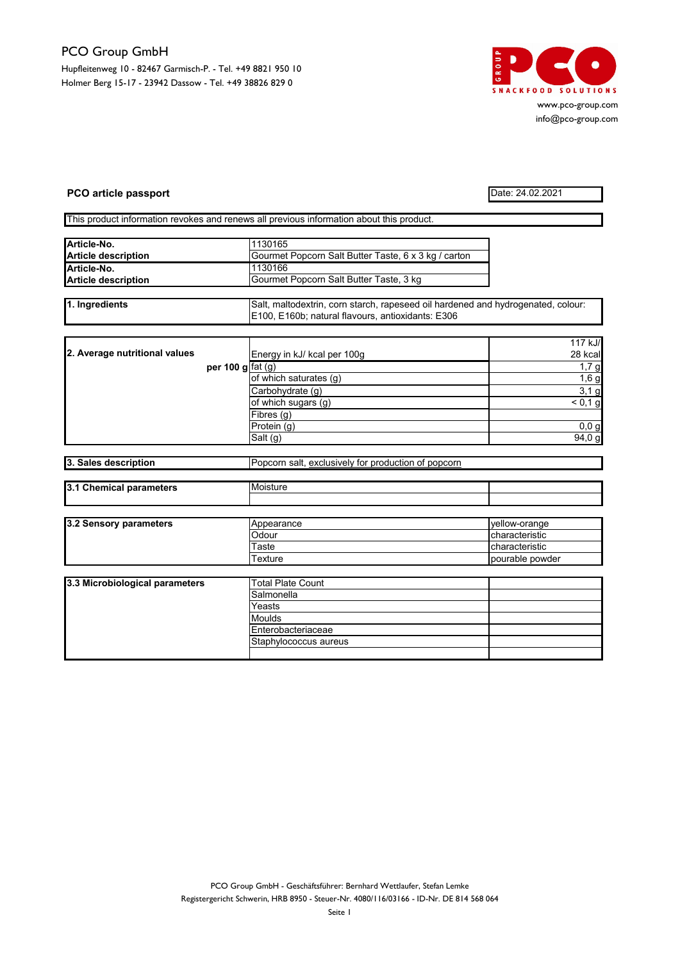## PCO Group GmbH

Hupfleitenweg 10 - 82467 Garmisch-P. - Tel. +49 8821 950 10 Holmer Berg 15-17 - 23942 Dassow - Tel. +49 38826 829 0



www.pco-group.com info@pco-group.com

## PCO article passport Date: 24.02.2021

This product information revokes and renews all previous information about this product.

| Article-No.                | 1130165                                              |  |
|----------------------------|------------------------------------------------------|--|
| <b>Article description</b> | Gourmet Popcorn Salt Butter Taste, 6 x 3 kg / carton |  |
| Article-No.                | 1130166                                              |  |
| <b>Article description</b> | Gourmet Popcorn Salt Butter Taste, 3 kg              |  |

1. Ingredients Salt, maltodextrin, corn starch, rapeseed oil hardened and hydrogenated, colour: E100, E160b; natural flavours, antioxidants: E306

|                               |                    |                             | 117 kJ/ |
|-------------------------------|--------------------|-----------------------------|---------|
| 2. Average nutritional values |                    | Energy in kJ/ kcal per 100g | 28 kcal |
|                               | per 100 g $fat(g)$ |                             | 1,7g    |
|                               |                    | of which saturates (g)      | 1,6g    |
|                               |                    | Carbohydrate (q)            | 3,1g    |
|                               |                    | of which sugars (g)         | < 0.1 g |
|                               |                    | Fibres(g)                   |         |
|                               |                    | Protein (g)                 | 0,0,9   |
|                               |                    | Salt (g)                    | 94,0 g  |

| -<br>escript<br>і п. н<br>aescr<br><b>Sales</b><br>יוטווי. | $-$<br>$    -$<br>popcorn<br>exclusivel<br><br>- --<br>salt<br>Οt<br>orr<br>וכ<br>…ution ⊂<br>7001110<br>opc |
|------------------------------------------------------------|--------------------------------------------------------------------------------------------------------------|
|                                                            |                                                                                                              |

| ıэ<br>. .<br>neters<br>. <del>.</del><br><b><i><u><u>BARBARA</u></u></i></b><br>.<br>nemucar<br><b>par</b><br>. a. r | Moist |  |
|----------------------------------------------------------------------------------------------------------------------|-------|--|
|                                                                                                                      |       |  |

| 3.2 Sensory parameters | Appearance | Ivellow-orange         |
|------------------------|------------|------------------------|
|                        | Odour      | <b>Icharacteristic</b> |
|                        | Γaste      | characteristic         |
|                        | ⊺exture    | pourable powder        |

| 3.3 Microbiological parameters | <b>Total Plate Count</b> |  |
|--------------------------------|--------------------------|--|
|                                | Salmonella               |  |
|                                | Yeasts                   |  |
|                                | Moulds                   |  |
|                                | Enterobacteriaceae       |  |
|                                | Staphylococcus aureus    |  |
|                                |                          |  |